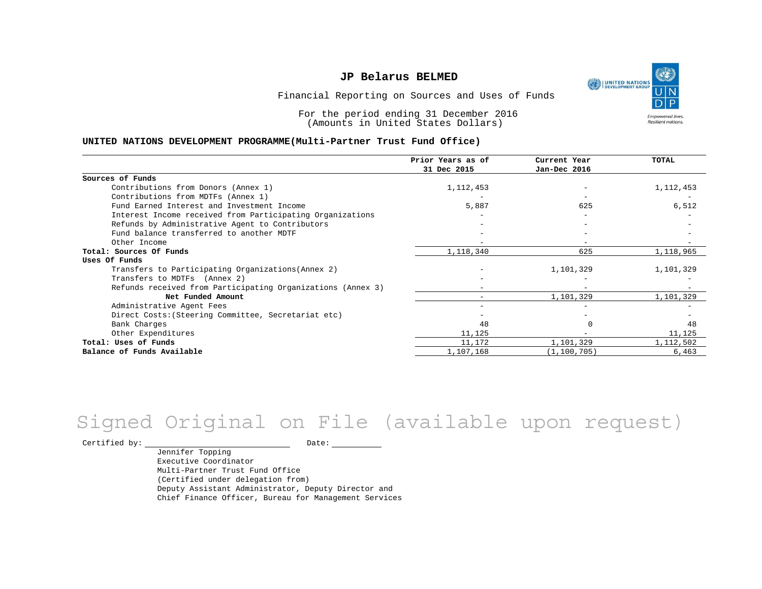UNITED NATIONS **Empowered lives** Resilient nations.

Financial Reporting on Sources and Uses of Funds

For the period ending 31 December 2016 (Amounts in United States Dollars)

#### **UNITED NATIONS DEVELOPMENT PROGRAMME(Multi-Partner Trust Fund Office)**

|                                                             | Prior Years as of<br>31 Dec 2015 | Current Year<br>Jan-Dec 2016 | <b>TOTAL</b> |
|-------------------------------------------------------------|----------------------------------|------------------------------|--------------|
|                                                             |                                  |                              |              |
| Sources of Funds                                            |                                  |                              |              |
| Contributions from Donors (Annex 1)                         | 1, 112, 453                      |                              | 1,112,453    |
| Contributions from MDTFs (Annex 1)                          |                                  |                              |              |
| Fund Earned Interest and Investment Income                  | 5,887                            | 625                          | 6,512        |
| Interest Income received from Participating Organizations   |                                  |                              |              |
| Refunds by Administrative Agent to Contributors             |                                  |                              |              |
| Fund balance transferred to another MDTF                    |                                  |                              |              |
| Other Income                                                |                                  | $-$                          |              |
| Total: Sources Of Funds                                     | 1,118,340                        | 625                          | 1,118,965    |
| Uses Of Funds                                               |                                  |                              |              |
| Transfers to Participating Organizations (Annex 2)          |                                  | 1,101,329                    | 1,101,329    |
| Transfers to MDTFs (Annex 2)                                |                                  |                              |              |
| Refunds received from Participating Organizations (Annex 3) |                                  | $\overline{\phantom{0}}$     |              |
| Net Funded Amount                                           |                                  | 1,101,329                    | 1,101,329    |
| Administrative Agent Fees                                   |                                  |                              |              |
| Direct Costs: (Steering Committee, Secretariat etc)         |                                  |                              |              |
| Bank Charges                                                | 48                               |                              | 48           |
| Other Expenditures                                          | 11,125                           |                              | 11,125       |
| Total: Uses of Funds                                        | 11,172                           | 1,101,329                    | 1,112,502    |
| Balance of Funds Available                                  | 1,107,168                        | (1, 100, 705)                | 6,463        |

## Signed Original on File (available upon request)

Certified by: Date:

Jennifer Topping Executive Coordinator Multi-Partner Trust Fund Office (Certified under delegation from) Deputy Assistant Administrator, Deputy Director and Chief Finance Officer, Bureau for Management Services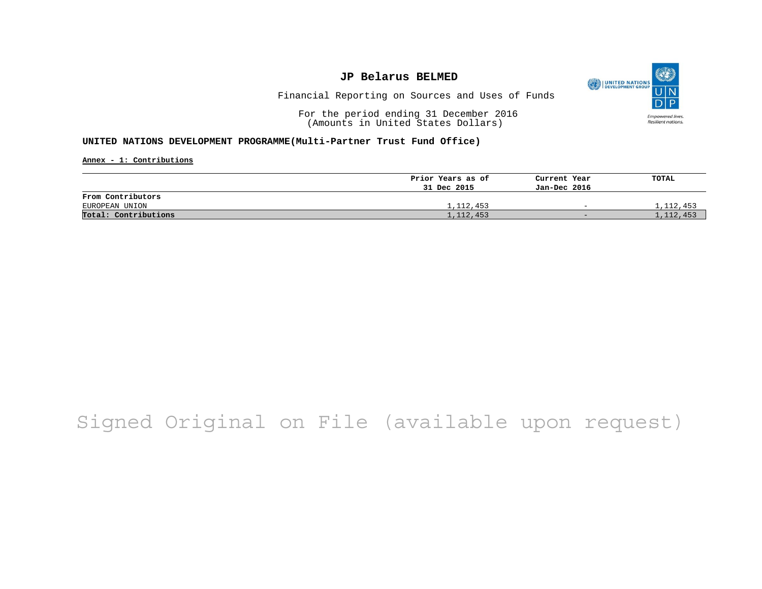

Financial Reporting on Sources and Uses of Funds

For the period ending 31 December 2016 (Amounts in United States Dollars)

#### **UNITED NATIONS DEVELOPMENT PROGRAMME(Multi-Partner Trust Fund Office)**

**Annex - 1: Contributions**

|                      | Prior Years as of | Current Year             | TOTAL       |
|----------------------|-------------------|--------------------------|-------------|
|                      | 31 Dec 2015       | Jan-Dec 2016             |             |
| From Contributors    |                   |                          |             |
| EUROPEAN UNION       | 1,112,453         | $\overline{\phantom{0}}$ | 1,112,453   |
| Total: Contributions | 1,112,453         | $-$                      | 1, 112, 453 |

# Signed Original on File (available upon request)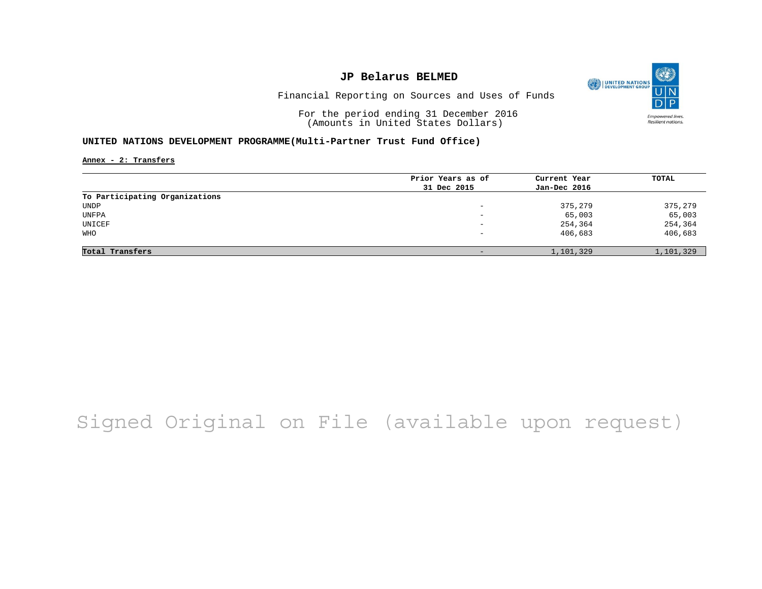

Financial Reporting on Sources and Uses of Funds

For the period ending 31 December 2016 (Amounts in United States Dollars)

#### **UNITED NATIONS DEVELOPMENT PROGRAMME(Multi-Partner Trust Fund Office)**

**Annex - 2: Transfers**

| Prior Years as of | Current Year | TOTAL     |
|-------------------|--------------|-----------|
| 31 Dec 2015       | Jan-Dec 2016 |           |
|                   |              |           |
| -                 | 375,279      | 375,279   |
| -                 | 65,003       | 65,003    |
| -                 | 254,364      | 254,364   |
| -                 | 406,683      | 406,683   |
|                   |              |           |
| $\qquad \qquad -$ | 1,101,329    | 1,101,329 |
|                   |              |           |

## Signed Original on File (available upon request)